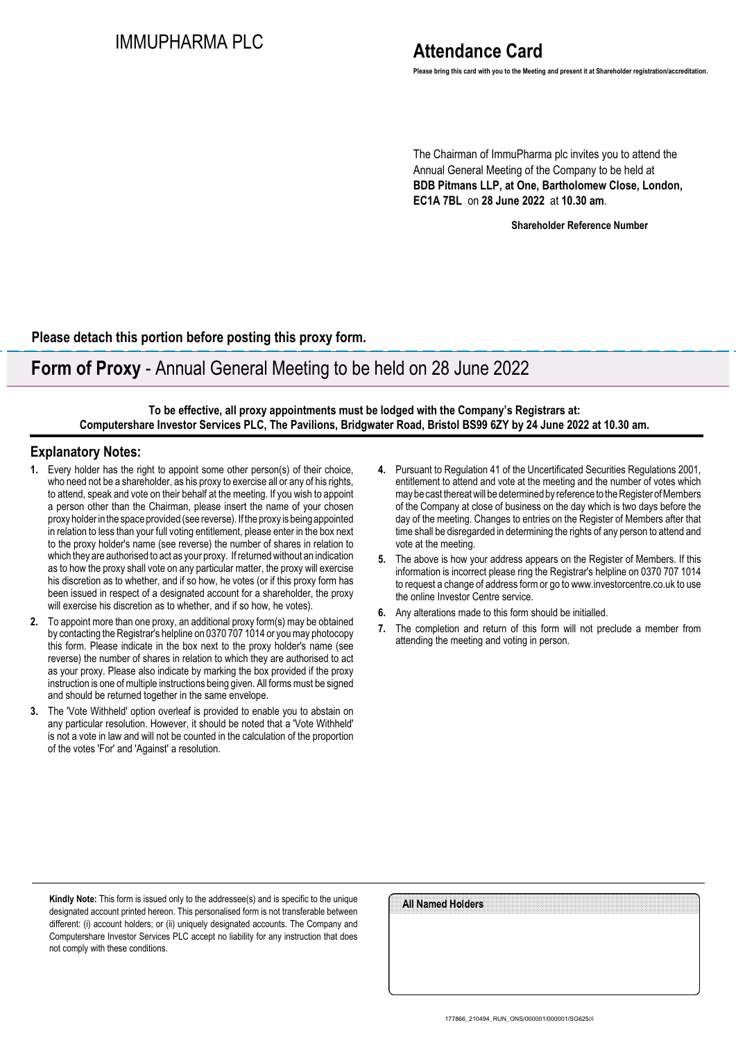# IMMUPHARMA PLC

# **Attendance Card**

**Please bring this card with you to the Meeting and present it at Shareholder registration/accreditation.**

The Chairman of ImmuPharma plc invites you to attend the Annual General Meeting of the Company to be held at **BDB Pitmans LLP, at One, Bartholomew Close, London, EC1A 7BL** on **28 June 2022** at **10.30 am**.

**Shareholder Reference Number**

**Please detach this portion before posting this proxy form.**

### **Form of Proxy** - Annual General Meeting to be held on 28 June 2022

**To be effective, all proxy appointments must be lodged with the Company's Registrars at: Computershare Investor Services PLC, The Pavilions, Bridgwater Road, Bristol BS99 6ZY by 24 June 2022 at 10.30 am.**

### **Explanatory Notes:**

- **1.** Every holder has the right to appoint some other person(s) of their choice, who need not be a shareholder, as his proxy to exercise all or any of his rights, to attend, speak and vote on their behalf at the meeting. If you wish to appoint a person other than the Chairman, please insert the name of your chosen proxy holder in the space provided (see reverse). If the proxy is being appointed in relation to less than your full voting entitlement, please enter in the box next to the proxy holder's name (see reverse) the number of shares in relation to which they are authorised to act as your proxy. If returned without an indication as to how the proxy shall vote on any particular matter, the proxy will exercise his discretion as to whether, and if so how, he votes (or if this proxy form has been issued in respect of a designated account for a shareholder, the proxy will exercise his discretion as to whether, and if so how, he votes).
- **2.** To appoint more than one proxy, an additional proxy form(s) may be obtained by contacting the Registrar's helpline on 0370 707 1014 or you may photocopy this form. Please indicate in the box next to the proxy holder's name (see reverse) the number of shares in relation to which they are authorised to act as your proxy. Please also indicate by marking the box provided if the proxy instruction is one of multiple instructions being given. All forms must be signed and should be returned together in the same envelope.
- **3.** The 'Vote Withheld' option overleaf is provided to enable you to abstain on any particular resolution. However, it should be noted that a 'Vote Withheld' is not a vote in law and will not be counted in the calculation of the proportion of the votes 'For' and 'Against' a resolution.
- **4.** Pursuant to Regulation 41 of the Uncertificated Securities Regulations 2001, entitlement to attend and vote at the meeting and the number of votes which may be cast thereat will be determined by reference to the Register of Members of the Company at close of business on the day which is two days before the day of the meeting. Changes to entries on the Register of Members after that time shall be disregarded in determining the rights of any person to attend and vote at the meeting.
- **5.** The above is how your address appears on the Register of Members. If this information is incorrect please ring the Registrar's helpline on 0370 707 1014 to request a change of address form or go to www.investorcentre.co.uk to use the online Investor Centre service.
- **6.** Any alterations made to this form should be initialled.
- **7.** The completion and return of this form will not preclude a member from attending the meeting and voting in person.

**Kindly Note:** This form is issued only to the addressee(s) and is specific to the unique designated account printed hereon. This personalised form is not transferable between different: (i) account holders; or (ii) uniquely designated accounts. The Company and Computershare Investor Services PLC accept no liability for any instruction that does not comply with these conditions.

| All Named Holders |  |  |  |
|-------------------|--|--|--|
|                   |  |  |  |
|                   |  |  |  |
|                   |  |  |  |
|                   |  |  |  |
|                   |  |  |  |